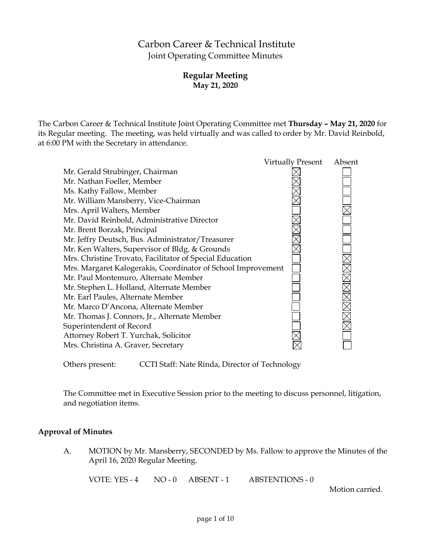# Carbon Career & Technical Institute Joint Operating Committee Minutes

# **Regular Meeting May 21, 2020**

The Carbon Career & Technical Institute Joint Operating Committee met **Thursday – May 21, 2020** for its Regular meeting. The meeting, was held virtually and was called to order by Mr. David Reinbold, at 6:00 PM with the Secretary in attendance.

|                                                              | <b>Virtually Present</b> | Absent |
|--------------------------------------------------------------|--------------------------|--------|
| Mr. Gerald Strubinger, Chairman                              |                          |        |
| Mr. Nathan Foeller, Member                                   |                          |        |
| Ms. Kathy Fallow, Member                                     |                          |        |
| Mr. William Mansberry, Vice-Chairman                         |                          |        |
| Mrs. April Walters, Member                                   |                          |        |
| Mr. David Reinbold, Administrative Director                  |                          |        |
| Mr. Brent Borzak, Principal                                  |                          |        |
| Mr. Jeffry Deutsch, Bus. Administrator/Treasurer             |                          |        |
| Mr. Ken Walters, Supervisor of Bldg. & Grounds               |                          |        |
| Mrs. Christine Trovato, Facilitator of Special Education     |                          |        |
| Mrs. Margaret Kalogerakis, Coordinator of School Improvement |                          |        |
| Mr. Paul Montemuro, Alternate Member                         |                          |        |
| Mr. Stephen L. Holland, Alternate Member                     |                          |        |
| Mr. Earl Paules, Alternate Member                            |                          |        |
| Mr. Marco D'Ancona, Alternate Member                         |                          |        |
| Mr. Thomas J. Connors, Jr., Alternate Member                 |                          |        |
| Superintendent of Record                                     |                          |        |
| Attorney Robert T. Yurchak, Solicitor                        |                          |        |
| Mrs. Christina A. Graver, Secretary                          |                          |        |
|                                                              |                          |        |

Others present: CCTI Staff: Nate Rinda, Director of Technology

The Committee met in Executive Session prior to the meeting to discuss personnel, litigation, and negotiation items.

# **Approval of Minutes**

A. MOTION by Mr. Mansberry, SECONDED by Ms. Fallow to approve the Minutes of the April 16, 2020 Regular Meeting.

VOTE: YES - 4 NO - 0 ABSENT - 1 ABSTENTIONS - 0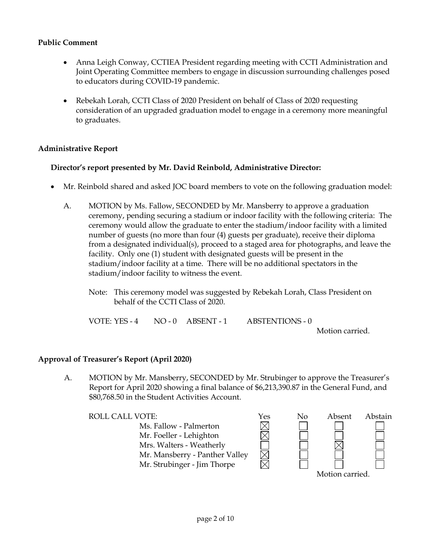# **Public Comment**

- Anna Leigh Conway, CCTIEA President regarding meeting with CCTI Administration and Joint Operating Committee members to engage in discussion surrounding challenges posed to educators during COVID-19 pandemic.
- Rebekah Lorah, CCTI Class of 2020 President on behalf of Class of 2020 requesting consideration of an upgraded graduation model to engage in a ceremony more meaningful to graduates.

# **Administrative Report**

# **Director's report presented by Mr. David Reinbold, Administrative Director:**

- Mr. Reinbold shared and asked JOC board members to vote on the following graduation model:
	- A. MOTION by Ms. Fallow, SECONDED by Mr. Mansberry to approve a graduation ceremony, pending securing a stadium or indoor facility with the following criteria: The ceremony would allow the graduate to enter the stadium/indoor facility with a limited number of guests (no more than four (4) guests per graduate), receive their diploma from a designated individual(s), proceed to a staged area for photographs, and leave the facility. Only one (1) student with designated guests will be present in the stadium/indoor facility at a time. There will be no additional spectators in the stadium/indoor facility to witness the event.
		- Note: This ceremony model was suggested by Rebekah Lorah, Class President on behalf of the CCTI Class of 2020.

| VOTE: YES - 4 | $NO-0$ $ABSENT-1$ | ABSTENTIONS - 0             |
|---------------|-------------------|-----------------------------|
|               |                   | $M_{\odot}$ is a second one |

Motion carried.

# **Approval of Treasurer's Report (April 2020)**

A. MOTION by Mr. Mansberry, SECONDED by Mr. Strubinger to approve the Treasurer's Report for April 2020 showing a final balance of \$6,213,390.87 in the General Fund, and \$80,768.50 in the Student Activities Account.

ROLL CALL VOTE:<br>
Ms. Fallow - Palmerton<br>
Mr. Foeller - Lehighton<br>  $\boxtimes$ Ms. Fallow - Palmerton Mr. Foeller - Lehighton Mrs. Walters - Weatherly Mr. Mansberry - Panther Valley Mr. Strubinger - Jim Thorpe

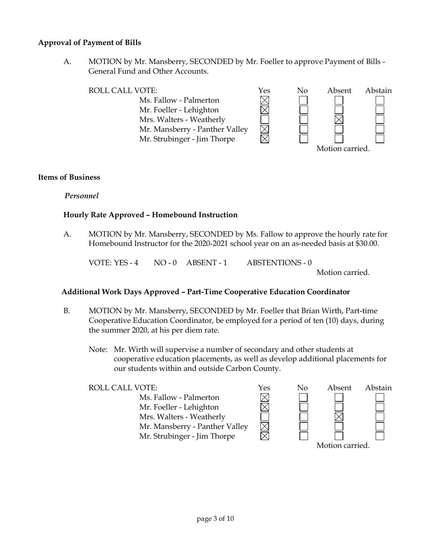### **Approval of Payment of Bills**

A. MOTION by Mr. Mansberry, SECONDED by Mr. Foeller to approve Payment of Bills - General Fund and Other Accounts.

| ROLL CALL VOTE:                | Yes | No | Absent         | Abstain |
|--------------------------------|-----|----|----------------|---------|
| Ms. Fallow - Palmerton         |     |    |                |         |
| Mr. Foeller - Lehighton        |     |    |                |         |
| Mrs. Walters - Weatherly       |     |    |                |         |
| Mr. Mansberry - Panther Valley |     |    |                |         |
| Mr. Strubinger - Jim Thorpe    |     |    |                |         |
|                                |     |    | Motion carried |         |

### **Items of Business**

*Personnel*

# **Hourly Rate Approved – Homebound Instruction**

A. MOTION by Mr. Mansberry, SECONDED by Ms. Fallow to approve the hourly rate for Homebound Instructor for the 2020-2021 school year on an as-needed basis at \$30.00.

VOTE: YES - 4 NO - 0 ABSENT - 1 ABSTENTIONS - 0

Motion carried.

# **Additional Work Days Approved – Part-Time Cooperative Education Coordinator**

- B. MOTION by Mr. Mansberry, SECONDED by Mr. Foeller that Brian Wirth, Part-time Cooperative Education Coordinator, be employed for a period of ten (10) days, during the summer 2020, at his per diem rate.
	- Note: Mr. Wirth will supervise a number of secondary and other students at cooperative education placements, as well as develop additional placements for our students within and outside Carbon County.

| <b>ROLL CALL VOTE:</b>         | Yes | No | Absent          | Abstain |
|--------------------------------|-----|----|-----------------|---------|
| Ms. Fallow - Palmerton         |     |    |                 |         |
| Mr. Foeller - Lehighton        |     |    |                 |         |
| Mrs. Walters - Weatherly       |     |    |                 |         |
| Mr. Mansberry - Panther Valley |     |    |                 |         |
| Mr. Strubinger - Jim Thorpe    |     |    |                 |         |
|                                |     |    | Motion carried. |         |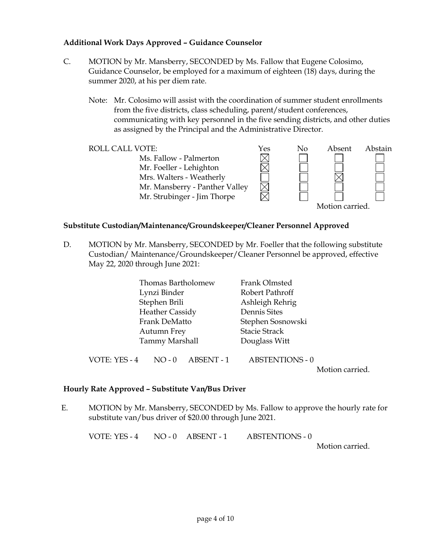# **Additional Work Days Approved – Guidance Counselor**

- C. MOTION by Mr. Mansberry, SECONDED by Ms. Fallow that Eugene Colosimo, Guidance Counselor, be employed for a maximum of eighteen (18) days, during the summer 2020, at his per diem rate.
	- Note: Mr. Colosimo will assist with the coordination of summer student enrollments from the five districts, class scheduling, parent/student conferences, communicating with key personnel in the five sending districts, and other duties as assigned by the Principal and the Administrative Director.



### **Substitute Custodian/Maintenance/Groundskeeper/Cleaner Personnel Approved**

D. MOTION by Mr. Mansberry, SECONDED by Mr. Foeller that the following substitute Custodian/ Maintenance/Groundskeeper/Cleaner Personnel be approved, effective May 22, 2020 through June 2021:

| Thomas Bartholomew     |                       |                 | Frank Olmsted          |  |  |
|------------------------|-----------------------|-----------------|------------------------|--|--|
|                        | Lynzi Binder          |                 | Robert Pathroff        |  |  |
|                        | Stephen Brili         | Ashleigh Rehrig |                        |  |  |
| <b>Heather Cassidy</b> |                       |                 | Dennis Sites           |  |  |
| Frank DeMatto          |                       |                 | Stephen Sosnowski      |  |  |
| Autumn Frey            |                       |                 | <b>Stacie Strack</b>   |  |  |
|                        | <b>Tammy Marshall</b> |                 | Douglass Witt          |  |  |
|                        |                       |                 |                        |  |  |
| VOTE: YES - 4          | $NO - 0$              | ABSENT - 1      | <b>ABSTENTIONS - 0</b> |  |  |

Motion carried.

# **Hourly Rate Approved – Substitute Van/Bus Driver**

E. MOTION by Mr. Mansberry, SECONDED by Ms. Fallow to approve the hourly rate for substitute van/bus driver of \$20.00 through June 2021.

VOTE: YES - 4 NO - 0 ABSENT - 1 ABSTENTIONS - 0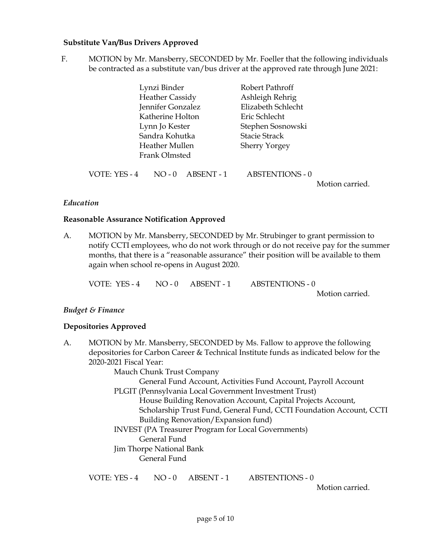### **Substitute Van/Bus Drivers Approved**

F. MOTION by Mr. Mansberry, SECONDED by Mr. Foeller that the following individuals be contracted as a substitute van/bus driver at the approved rate through June 2021:

|               | Lynzi Binder           |            | Robert Pathroff        |                 |
|---------------|------------------------|------------|------------------------|-----------------|
|               | <b>Heather Cassidy</b> |            | Ashleigh Rehrig        |                 |
|               | Jennifer Gonzalez      |            | Elizabeth Schlecht     |                 |
|               | Katherine Holton       |            | Eric Schlecht          |                 |
|               | Lynn Jo Kester         |            | Stephen Sosnowski      |                 |
|               | Sandra Kohutka         |            | <b>Stacie Strack</b>   |                 |
|               | Heather Mullen         |            | <b>Sherry Yorgey</b>   |                 |
|               | Frank Olmsted          |            |                        |                 |
| VOTE: YES - 4 | $NO - 0$               | ABSENT - 1 | <b>ABSTENTIONS - 0</b> | Motion carried. |
|               |                        |            |                        |                 |

### *Education*

### **Reasonable Assurance Notification Approved**

A. MOTION by Mr. Mansberry, SECONDED by Mr. Strubinger to grant permission to notify CCTI employees, who do not work through or do not receive pay for the summer months, that there is a "reasonable assurance" their position will be available to them again when school re-opens in August 2020.

| VOTE: YES - 4 | $NO - 0$ $ABSENT - 1$ | <b>ABSTENTIONS - 0</b> |
|---------------|-----------------------|------------------------|
|               |                       |                        |

Motion carried.

# *Budget & Finance*

### **Depositories Approved**

A. MOTION by Mr. Mansberry, SECONDED by Ms. Fallow to approve the following depositories for Carbon Career & Technical Institute funds as indicated below for the 2020-2021 Fiscal Year: Mauch Chunk Trust Company General Fund Account, Activities Fund Account, Payroll Account PLGIT (Pennsylvania Local Government Investment Trust) House Building Renovation Account, Capital Projects Account, Scholarship Trust Fund, General Fund, CCTI Foundation Account, CCTI Building Renovation/Expansion fund) INVEST (PA Treasurer Program for Local Governments) General Fund Jim Thorpe National Bank General Fund VOTE: YES - 4 NO - 0 ABSENT - 1 ABSTENTIONS - 0 Motion carried.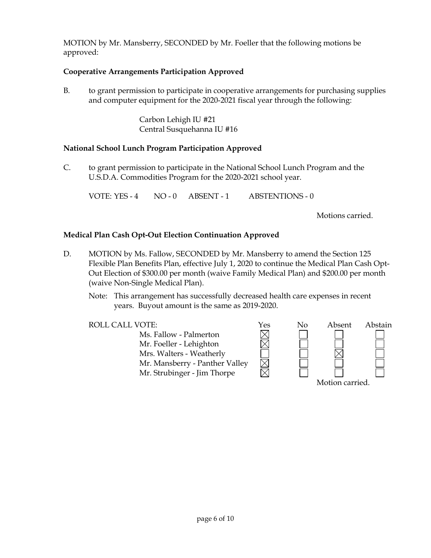MOTION by Mr. Mansberry, SECONDED by Mr. Foeller that the following motions be approved:

# **Cooperative Arrangements Participation Approved**

B. to grant permission to participate in cooperative arrangements for purchasing supplies and computer equipment for the 2020-2021 fiscal year through the following:

> Carbon Lehigh IU #21 Central Susquehanna IU #16

# **National School Lunch Program Participation Approved**

C. to grant permission to participate in the National School Lunch Program and the U.S.D.A. Commodities Program for the 2020-2021 school year.

VOTE: YES - 4 NO - 0 ABSENT - 1 ABSTENTIONS - 0

Motions carried.

# **Medical Plan Cash Opt-Out Election Continuation Approved**

- D. MOTION by Ms. Fallow, SECONDED by Mr. Mansberry to amend the Section 125 Flexible Plan Benefits Plan, effective July 1, 2020 to continue the Medical Plan Cash Opt-Out Election of \$300.00 per month (waive Family Medical Plan) and \$200.00 per month (waive Non-Single Medical Plan).
	- Note: This arrangement has successfully decreased health care expenses in recent years. Buyout amount is the same as 2019-2020.

 $\overline{\boxtimes}$ 

Ms. Fallow - Palmerton Mr. Foeller - Lehighton Mrs. Walters - Weatherly Mr. Mansberry - Panther Valley Mr. Strubinger - Jim Thorpe

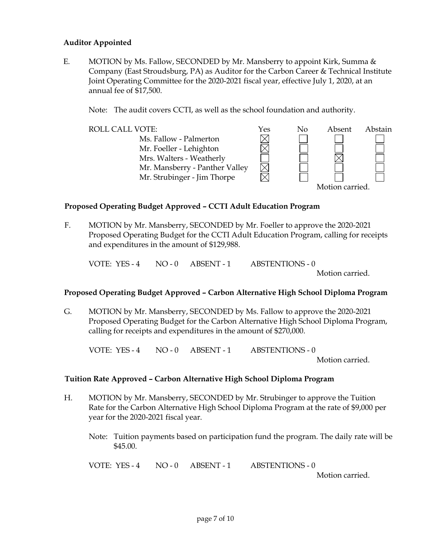# **Auditor Appointed**

E. MOTION by Ms. Fallow, SECONDED by Mr. Mansberry to appoint Kirk, Summa  $\&$ Company (East Stroudsburg, PA) as Auditor for the Carbon Career & Technical Institute Joint Operating Committee for the 2020-2021 fiscal year, effective July 1, 2020, at an annual fee of \$17,500.

Note: The audit covers CCTI, as well as the school foundation and authority.



### **Proposed Operating Budget Approved – CCTI Adult Education Program**

F. MOTION by Mr. Mansberry, SECONDED by Mr. Foeller to approve the 2020-2021 Proposed Operating Budget for the CCTI Adult Education Program, calling for receipts and expenditures in the amount of \$129,988.

VOTE: YES - 4 NO - 0 ABSENT - 1 ABSTENTIONS - 0

Motion carried.

### **Proposed Operating Budget Approved – Carbon Alternative High School Diploma Program**

G. MOTION by Mr. Mansberry, SECONDED by Ms. Fallow to approve the 2020-2021 Proposed Operating Budget for the Carbon Alternative High School Diploma Program, calling for receipts and expenditures in the amount of \$270,000.

VOTE: YES - 4 NO - 0 ABSENT - 1 ABSTENTIONS - 0 Motion carried.

### **Tuition Rate Approved – Carbon Alternative High School Diploma Program**

- H. MOTION by Mr. Mansberry, SECONDED by Mr. Strubinger to approve the Tuition Rate for the Carbon Alternative High School Diploma Program at the rate of \$9,000 per year for the 2020-2021 fiscal year.
	- Note: Tuition payments based on participation fund the program. The daily rate will be \$45.00.

VOTE: YES - 4 NO - 0 ABSENT - 1 ABSTENTIONS - 0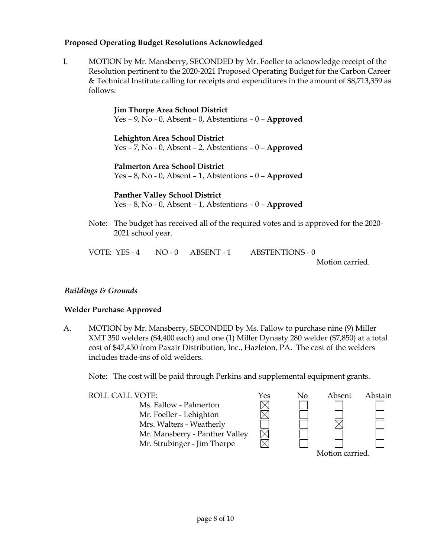# **Proposed Operating Budget Resolutions Acknowledged**

I. MOTION by Mr. Mansberry, SECONDED by Mr. Foeller to acknowledge receipt of the Resolution pertinent to the 2020-2021 Proposed Operating Budget for the Carbon Career & Technical Institute calling for receipts and expenditures in the amount of \$8,713,359 as follows:

> **Jim Thorpe Area School District** Yes – 9, No - 0, Absent – 0, Abstentions – 0 – **Approved**

> **Lehighton Area School District** Yes – 7, No - 0, Absent – 2, Abstentions – 0 – **Approved**

> **Palmerton Area School District** Yes – 8, No - 0, Absent – 1, Abstentions – 0 – **Approved**

**Panther Valley School District**

Yes – 8, No - 0, Absent – 1, Abstentions – 0 – **Approved**

Note: The budget has received all of the required votes and is approved for the 2020- 2021 school year.

VOTE: YES - 4 NO - 0 ABSENT - 1 ABSTENTIONS - 0

Motion carried.

# *Buildings & Grounds*

### **Welder Purchase Approved**

A. MOTION by Mr. Mansberry, SECONDED by Ms. Fallow to purchase nine (9) Miller XMT 350 welders (\$4,400 each) and one (1) Miller Dynasty 280 welder (\$7,850) at a total cost of \$47,450 from Paxair Distribution, Inc., Hazleton, PA. The cost of the welders includes trade-ins of old welders.

Note: The cost will be paid through Perkins and supplemental equipment grants.

Ms. Fallow - Palmerton Mr. Foeller - Lehighton Mrs. Walters - Weatherly Mr. Mansberry - Panther Valley Mr. Strubinger - Jim Thorpe

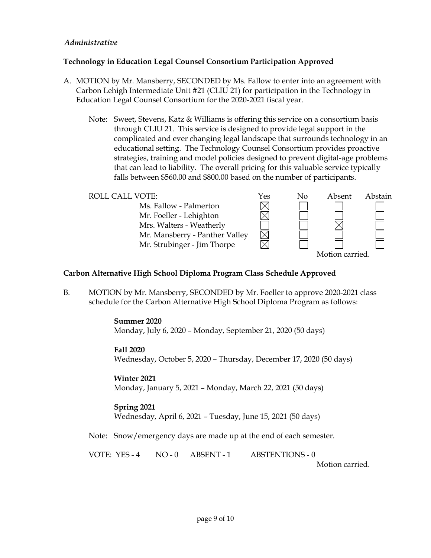# *Administrative*

# **Technology in Education Legal Counsel Consortium Participation Approved**

- A. MOTION by Mr. Mansberry, SECONDED by Ms. Fallow to enter into an agreement with Carbon Lehigh Intermediate Unit #21 (CLIU 21) for participation in the Technology in Education Legal Counsel Consortium for the 2020-2021 fiscal year.
	- Note: Sweet, Stevens, Katz & Williams is offering this service on a consortium basis through CLIU 21. This service is designed to provide legal support in the complicated and ever changing legal landscape that surrounds technology in an educational setting. The Technology Counsel Consortium provides proactive strategies, training and model policies designed to prevent digital-age problems that can lead to liability. The overall pricing for this valuable service typically falls between \$560.00 and \$800.00 based on the number of participants.

| <b>ROLL CALL VOTE:</b>         | Yes | No | Absent          | Abstain |
|--------------------------------|-----|----|-----------------|---------|
| Ms. Fallow - Palmerton         |     |    |                 |         |
| Mr. Foeller - Lehighton        |     |    |                 |         |
| Mrs. Walters - Weatherly       |     |    |                 |         |
| Mr. Mansberry - Panther Valley |     |    |                 |         |
| Mr. Strubinger - Jim Thorpe    |     |    |                 |         |
|                                |     |    | Motion carried. |         |

# **Carbon Alternative High School Diploma Program Class Schedule Approved**

B. MOTION by Mr. Mansberry, SECONDED by Mr. Foeller to approve 2020-2021 class schedule for the Carbon Alternative High School Diploma Program as follows:

> **Summer 2020** Monday, July 6, 2020 – Monday, September 21, 2020 (50 days)

### **Fall 2020**

Wednesday, October 5, 2020 – Thursday, December 17, 2020 (50 days)

### **Winter 2021**

Monday, January 5, 2021 – Monday, March 22, 2021 (50 days)

# **Spring 2021**

Wednesday, April 6, 2021 – Tuesday, June 15, 2021 (50 days)

Note: Snow/emergency days are made up at the end of each semester.

VOTE: YES - 4 NO - 0 ABSENT - 1 ABSTENTIONS - 0